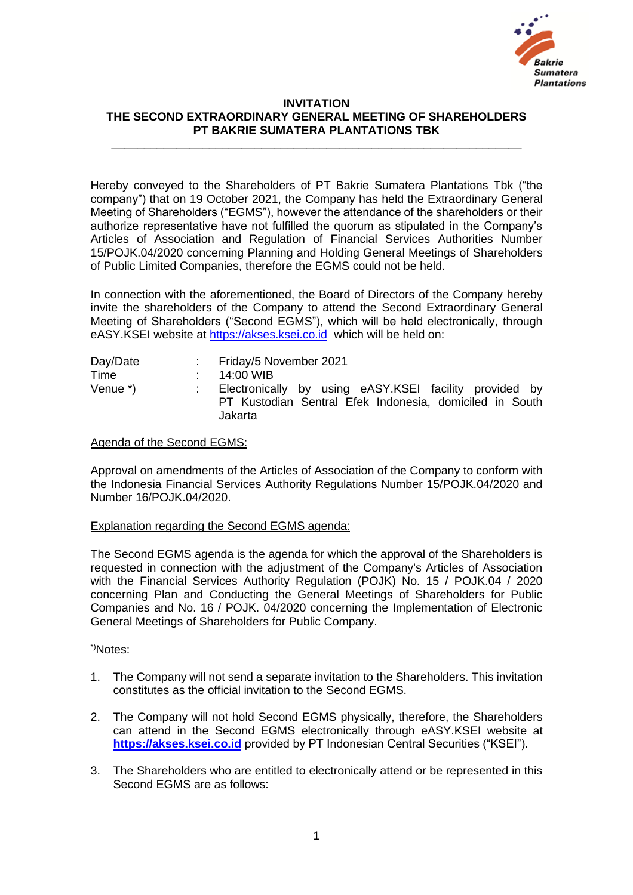

## **INVITATION THE SECOND EXTRAORDINARY GENERAL MEETING OF SHAREHOLDERS PT BAKRIE SUMATERA PLANTATIONS TBK**

**\_\_\_\_\_\_\_\_\_\_\_\_\_\_\_\_\_\_\_\_\_\_\_\_\_\_\_\_\_\_\_\_\_\_\_\_\_\_\_\_\_\_\_\_\_\_\_\_\_\_\_\_\_\_\_\_\_\_\_\_\_\_\_**

Hereby conveyed to the Shareholders of PT Bakrie Sumatera Plantations Tbk ("the company") that on 19 October 2021, the Company has held the Extraordinary General Meeting of Shareholders ("EGMS"), however the attendance of the shareholders or their authorize representative have not fulfilled the quorum as stipulated in the Company's Articles of Association and Regulation of Financial Services Authorities Number 15/POJK.04/2020 concerning Planning and Holding General Meetings of Shareholders of Public Limited Companies, therefore the EGMS could not be held.

In connection with the aforementioned, the Board of Directors of the Company hereby invite the shareholders of the Company to attend the Second Extraordinary General Meeting of Shareholders ("Second EGMS"), which will be held electronically, through eASY.KSEI website at [https://akses.ksei.co.id](https://akses.ksei.co.id/) which will be held on:

| Day/Date | : Friday/5 November 2021                                                                                                     |
|----------|------------------------------------------------------------------------------------------------------------------------------|
| Time     | 14:00 WIB                                                                                                                    |
| Venue *) | Electronically by using eASY.KSEI facility provided by<br>PT Kustodian Sentral Efek Indonesia, domiciled in South<br>Jakarta |

## Agenda of the Second EGMS:

Approval on amendments of the Articles of Association of the Company to conform with the Indonesia Financial Services Authority Regulations Number 15/POJK.04/2020 and Number 16/POJK.04/2020.

## Explanation regarding the Second EGMS agenda:

The Second EGMS agenda is the agenda for which the approval of the Shareholders is requested in connection with the adjustment of the Company's Articles of Association with the Financial Services Authority Regulation (POJK) No. 15 / POJK.04 / 2020 concerning Plan and Conducting the General Meetings of Shareholders for Public Companies and No. 16 / POJK. 04/2020 concerning the Implementation of Electronic General Meetings of Shareholders for Public Company.

## \*)Notes:

- 1. The Company will not send a separate invitation to the Shareholders. This invitation constitutes as the official invitation to the Second EGMS.
- 2. The Company will not hold Second EGMS physically, therefore, the Shareholders can attend in the Second EGMS electronically through eASY.KSEI website at **[https://akses.ksei.co.id](https://akses.ksei.co.id/)** provided by PT Indonesian Central Securities ("KSEI").
- 3. The Shareholders who are entitled to electronically attend or be represented in this Second EGMS are as follows: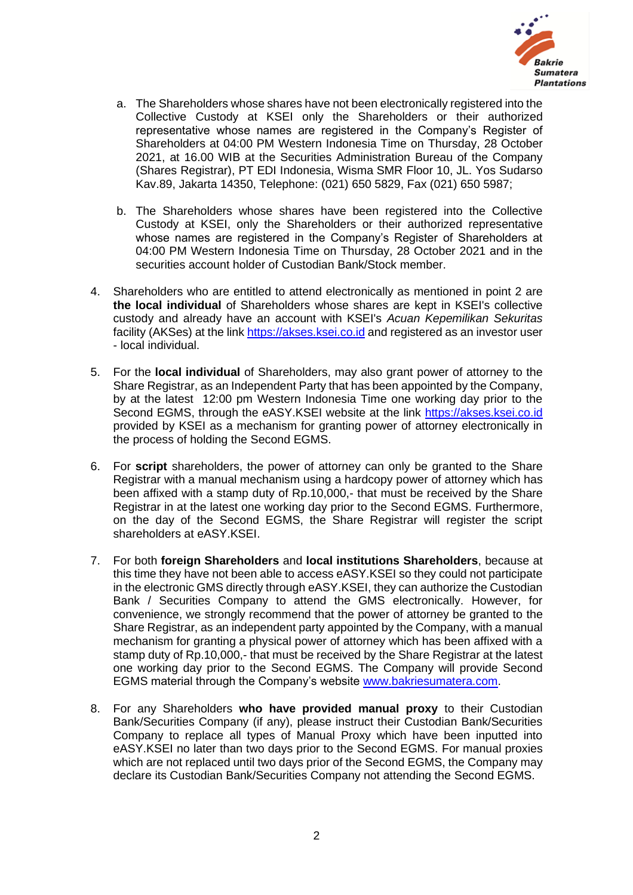

- a. The Shareholders whose shares have not been electronically registered into the Collective Custody at KSEI only the Shareholders or their authorized representative whose names are registered in the Company's Register of Shareholders at 04:00 PM Western Indonesia Time on Thursday, 28 October 2021, at 16.00 WIB at the Securities Administration Bureau of the Company (Shares Registrar), PT EDI Indonesia, Wisma SMR Floor 10, JL. Yos Sudarso Kav.89, Jakarta 14350, Telephone: (021) 650 5829, Fax (021) 650 5987;
- b. The Shareholders whose shares have been registered into the Collective Custody at KSEI, only the Shareholders or their authorized representative whose names are registered in the Company's Register of Shareholders at 04:00 PM Western Indonesia Time on Thursday, 28 October 2021 and in the securities account holder of Custodian Bank/Stock member.
- 4. Shareholders who are entitled to attend electronically as mentioned in point 2 are **the local individual** of Shareholders whose shares are kept in KSEI's collective custody and already have an account with KSEI's *Acuan Kepemilikan Sekuritas* facility (AKSes) at the link [https://akses.ksei.co.id](https://akses.ksei.co.id/) and registered as an investor user - local individual.
- 5. For the **local individual** of Shareholders, may also grant power of attorney to the Share Registrar, as an Independent Party that has been appointed by the Company, by at the latest 12:00 pm Western Indonesia Time one working day prior to the Second EGMS, through the eASY.KSEI website at the link [https://akses.ksei.co.id](https://akses.ksei.co.id/) provided by KSEI as a mechanism for granting power of attorney electronically in the process of holding the Second EGMS.
- 6. For **script** shareholders, the power of attorney can only be granted to the Share Registrar with a manual mechanism using a hardcopy power of attorney which has been affixed with a stamp duty of Rp.10,000,- that must be received by the Share Registrar in at the latest one working day prior to the Second EGMS. Furthermore, on the day of the Second EGMS, the Share Registrar will register the script shareholders at eASY.KSEI.
- 7. For both **foreign Shareholders** and **local institutions Shareholders**, because at this time they have not been able to access eASY.KSEI so they could not participate in the electronic GMS directly through eASY.KSEI, they can authorize the Custodian Bank / Securities Company to attend the GMS electronically. However, for convenience, we strongly recommend that the power of attorney be granted to the Share Registrar, as an independent party appointed by the Company, with a manual mechanism for granting a physical power of attorney which has been affixed with a stamp duty of Rp.10,000,- that must be received by the Share Registrar at the latest one working day prior to the Second EGMS. The Company will provide Second EGMS material through the Company's website [www.bakriesumatera.com.](http://www.bakriesumatera.com/)
- 8. For any Shareholders **who have provided manual proxy** to their Custodian Bank/Securities Company (if any), please instruct their Custodian Bank/Securities Company to replace all types of Manual Proxy which have been inputted into eASY.KSEI no later than two days prior to the Second EGMS. For manual proxies which are not replaced until two days prior of the Second EGMS, the Company may declare its Custodian Bank/Securities Company not attending the Second EGMS.